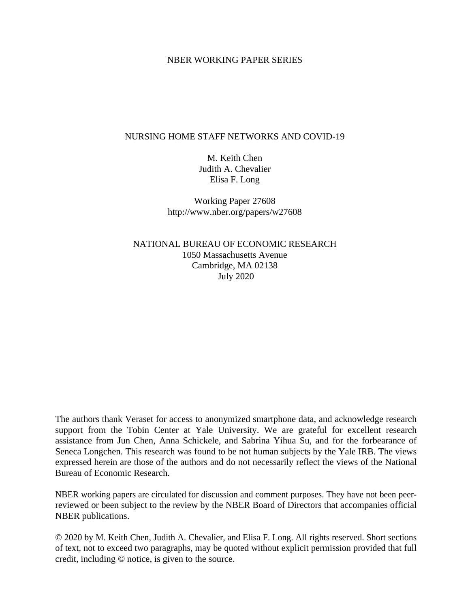### NBER WORKING PAPER SERIES

## NURSING HOME STAFF NETWORKS AND COVID-19

M. Keith Chen Judith A. Chevalier Elisa F. Long

Working Paper 27608 http://www.nber.org/papers/w27608

NATIONAL BUREAU OF ECONOMIC RESEARCH 1050 Massachusetts Avenue Cambridge, MA 02138 July 2020

The authors thank Veraset for access to anonymized smartphone data, and acknowledge research support from the Tobin Center at Yale University. We are grateful for excellent research assistance from Jun Chen, Anna Schickele, and Sabrina Yihua Su, and for the forbearance of Seneca Longchen. This research was found to be not human subjects by the Yale IRB. The views expressed herein are those of the authors and do not necessarily reflect the views of the National Bureau of Economic Research.

NBER working papers are circulated for discussion and comment purposes. They have not been peerreviewed or been subject to the review by the NBER Board of Directors that accompanies official NBER publications.

© 2020 by M. Keith Chen, Judith A. Chevalier, and Elisa F. Long. All rights reserved. Short sections of text, not to exceed two paragraphs, may be quoted without explicit permission provided that full credit, including © notice, is given to the source.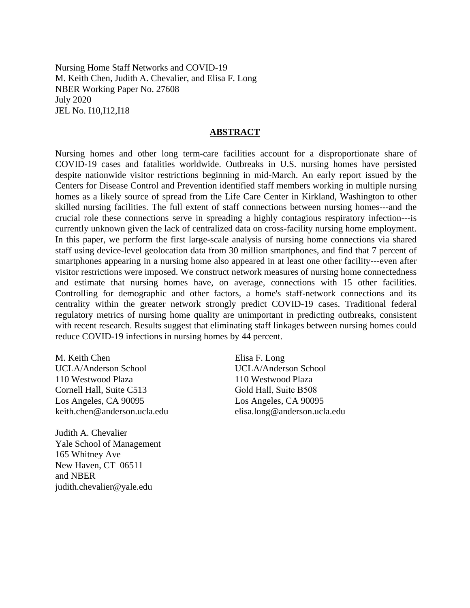Nursing Home Staff Networks and COVID-19 M. Keith Chen, Judith A. Chevalier, and Elisa F. Long NBER Working Paper No. 27608 July 2020 JEL No. I10,I12,I18

#### **ABSTRACT**

Nursing homes and other long term-care facilities account for a disproportionate share of COVID-19 cases and fatalities worldwide. Outbreaks in U.S. nursing homes have persisted despite nationwide visitor restrictions beginning in mid-March. An early report issued by the Centers for Disease Control and Prevention identified staff members working in multiple nursing homes as a likely source of spread from the Life Care Center in Kirkland, Washington to other skilled nursing facilities. The full extent of staff connections between nursing homes---and the crucial role these connections serve in spreading a highly contagious respiratory infection---is currently unknown given the lack of centralized data on cross-facility nursing home employment. In this paper, we perform the first large-scale analysis of nursing home connections via shared staff using device-level geolocation data from 30 million smartphones, and find that 7 percent of smartphones appearing in a nursing home also appeared in at least one other facility---even after visitor restrictions were imposed. We construct network measures of nursing home connectedness and estimate that nursing homes have, on average, connections with 15 other facilities. Controlling for demographic and other factors, a home's staff-network connections and its centrality within the greater network strongly predict COVID-19 cases. Traditional federal regulatory metrics of nursing home quality are unimportant in predicting outbreaks, consistent with recent research. Results suggest that eliminating staff linkages between nursing homes could reduce COVID-19 infections in nursing homes by 44 percent.

M. Keith Chen UCLA/Anderson School 110 Westwood Plaza Cornell Hall, Suite C513 Los Angeles, CA 90095 keith.chen@anderson.ucla.edu

Judith A. Chevalier Yale School of Management 165 Whitney Ave New Haven, CT 06511 and NBER judith.chevalier@yale.edu

Elisa F. Long UCLA/Anderson School 110 Westwood Plaza Gold Hall, Suite B508 Los Angeles, CA 90095 elisa.long@anderson.ucla.edu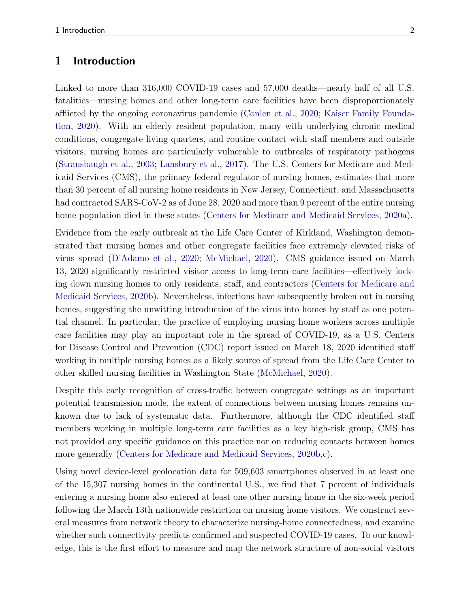## 1 Introduction

Linked to more than 316,000 COVID-19 cases and 57,000 deaths—nearly half of all U.S. fatalities—nursing homes and other long-term care facilities have been disproportionately afflicted by the ongoing coronavirus pandemic [\(Conlen et al.,](#page-14-0) [2020;](#page-14-0) [Kaiser Family Founda](#page-15-0)[tion,](#page-15-0) [2020\)](#page-15-0). With an elderly resident population, many with underlying chronic medical conditions, congregate living quarters, and routine contact with staff members and outside visitors, nursing homes are particularly vulnerable to outbreaks of respiratory pathogens [\(Strausbaugh et al.,](#page-16-0) [2003;](#page-16-0) [Lansbury et al.,](#page-15-1) [2017\)](#page-15-1). The U.S. Centers for Medicare and Medicaid Services (CMS), the primary federal regulator of nursing homes, estimates that more than 30 percent of all nursing home residents in New Jersey, Connecticut, and Massachusetts had contracted SARS-CoV-2 as of June 28, 2020 and more than 9 percent of the entire nursing home population died in these states [\(Centers for Medicare and Medicaid Services,](#page-14-1) [2020a\)](#page-14-1).

Evidence from the early outbreak at the Life Care Center of Kirkland, Washington demonstrated that nursing homes and other congregate facilities face extremely elevated risks of virus spread [\(D'Adamo et al.,](#page-14-2) [2020;](#page-14-2) [McMichael,](#page-15-2) [2020\)](#page-15-2). CMS guidance issued on March 13, 2020 significantly restricted visitor access to long-term care facilities—effectively locking down nursing homes to only residents, staff, and contractors [\(Centers for Medicare and](#page-14-3) [Medicaid Services,](#page-14-3) [2020b\)](#page-14-3). Nevertheless, infections have subsequently broken out in nursing homes, suggesting the unwitting introduction of the virus into homes by staff as one potential channel. In particular, the practice of employing nursing home workers across multiple care facilities may play an important role in the spread of COVID-19, as a U.S. Centers for Disease Control and Prevention (CDC) report issued on March 18, 2020 identified staff working in multiple nursing homes as a likely source of spread from the Life Care Center to other skilled nursing facilities in Washington State [\(McMichael,](#page-15-2) [2020\)](#page-15-2).

Despite this early recognition of cross-traffic between congregate settings as an important potential transmission mode, the extent of connections between nursing homes remains unknown due to lack of systematic data. Furthermore, although the CDC identified staff members working in multiple long-term care facilities as a key high-risk group, CMS has not provided any specific guidance on this practice nor on reducing contacts between homes more generally [\(Centers for Medicare and Medicaid Services,](#page-14-3) [2020b](#page-14-3)[,c\)](#page-14-4).

Using novel device-level geolocation data for 509,603 smartphones observed in at least one of the 15,307 nursing homes in the continental U.S., we find that 7 percent of individuals entering a nursing home also entered at least one other nursing home in the six-week period following the March 13th nationwide restriction on nursing home visitors. We construct several measures from network theory to characterize nursing-home connectedness, and examine whether such connectivity predicts confirmed and suspected COVID-19 cases. To our knowledge, this is the first effort to measure and map the network structure of non-social visitors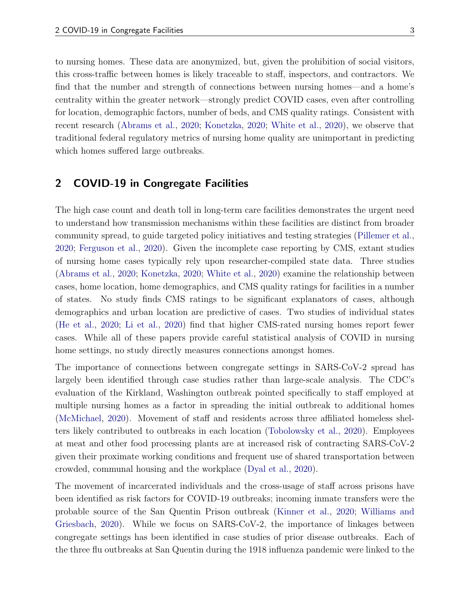to nursing homes. These data are anonymized, but, given the prohibition of social visitors, this cross-traffic between homes is likely traceable to staff, inspectors, and contractors. We find that the number and strength of connections between nursing homes—and a home's centrality within the greater network—strongly predict COVID cases, even after controlling for location, demographic factors, number of beds, and CMS quality ratings. Consistent with recent research [\(Abrams et al.,](#page-14-5) [2020;](#page-14-5) [Konetzka,](#page-15-3) [2020;](#page-15-3) [White et al.,](#page-16-1) [2020\)](#page-16-1), we observe that traditional federal regulatory metrics of nursing home quality are unimportant in predicting which homes suffered large outbreaks.

# 2 COVID-19 in Congregate Facilities

The high case count and death toll in long-term care facilities demonstrates the urgent need to understand how transmission mechanisms within these facilities are distinct from broader community spread, to guide targeted policy initiatives and testing strategies [\(Pillemer et al.,](#page-15-4) [2020;](#page-15-4) [Ferguson et al.,](#page-15-5) [2020\)](#page-15-5). Given the incomplete case reporting by CMS, extant studies of nursing home cases typically rely upon researcher-compiled state data. Three studies [\(Abrams et al.,](#page-14-5) [2020;](#page-14-5) [Konetzka,](#page-15-3) [2020;](#page-15-3) [White et al.,](#page-16-1) [2020\)](#page-16-1) examine the relationship between cases, home location, home demographics, and CMS quality ratings for facilities in a number of states. No study finds CMS ratings to be significant explanators of cases, although demographics and urban location are predictive of cases. Two studies of individual states [\(He et al.,](#page-15-6) [2020;](#page-15-6) [Li et al.,](#page-15-7) [2020\)](#page-15-7) find that higher CMS-rated nursing homes report fewer cases. While all of these papers provide careful statistical analysis of COVID in nursing home settings, no study directly measures connections amongst homes.

The importance of connections between congregate settings in SARS-CoV-2 spread has largely been identified through case studies rather than large-scale analysis. The CDC's evaluation of the Kirkland, Washington outbreak pointed specifically to staff employed at multiple nursing homes as a factor in spreading the initial outbreak to additional homes [\(McMichael,](#page-15-2) [2020\)](#page-15-2). Movement of staff and residents across three affiliated homeless shelters likely contributed to outbreaks in each location [\(Tobolowsky et al.,](#page-16-2) [2020\)](#page-16-2). Employees at meat and other food processing plants are at increased risk of contracting SARS-CoV-2 given their proximate working conditions and frequent use of shared transportation between crowded, communal housing and the workplace [\(Dyal et al.,](#page-15-8) [2020\)](#page-15-8).

The movement of incarcerated individuals and the cross-usage of staff across prisons have been identified as risk factors for COVID-19 outbreaks; incoming inmate transfers were the probable source of the San Quentin Prison outbreak [\(Kinner et al.,](#page-15-9) [2020;](#page-15-9) [Williams and](#page-16-3) [Griesbach,](#page-16-3) [2020\)](#page-16-3). While we focus on SARS-CoV-2, the importance of linkages between congregate settings has been identified in case studies of prior disease outbreaks. Each of the three flu outbreaks at San Quentin during the 1918 influenza pandemic were linked to the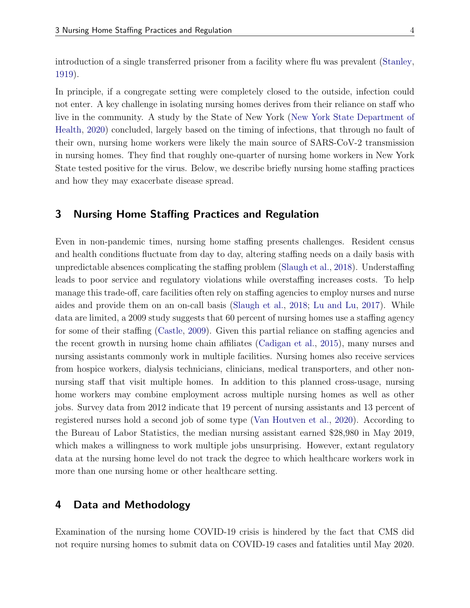introduction of a single transferred prisoner from a facility where flu was prevalent [\(Stanley,](#page-16-4) [1919\)](#page-16-4).

In principle, if a congregate setting were completely closed to the outside, infection could not enter. A key challenge in isolating nursing homes derives from their reliance on staff who live in the community. A study by the State of New York [\(New York State Department of](#page-15-10) [Health,](#page-15-10) [2020\)](#page-15-10) concluded, largely based on the timing of infections, that through no fault of their own, nursing home workers were likely the main source of SARS-CoV-2 transmission in nursing homes. They find that roughly one-quarter of nursing home workers in New York State tested positive for the virus. Below, we describe briefly nursing home staffing practices and how they may exacerbate disease spread.

## 3 Nursing Home Staffing Practices and Regulation

Even in non-pandemic times, nursing home staffing presents challenges. Resident census and health conditions fluctuate from day to day, altering staffing needs on a daily basis with unpredictable absences complicating the staffing problem [\(Slaugh et al.,](#page-16-5) [2018\)](#page-16-5). Understaffing leads to poor service and regulatory violations while overstaffing increases costs. To help manage this trade-off, care facilities often rely on staffing agencies to employ nurses and nurse aides and provide them on an on-call basis [\(Slaugh et al.,](#page-16-5) [2018;](#page-16-5) [Lu and Lu,](#page-15-11) [2017\)](#page-15-11). While data are limited, a 2009 study suggests that 60 percent of nursing homes use a staffing agency for some of their staffing [\(Castle,](#page-14-6) [2009\)](#page-14-6). Given this partial reliance on staffing agencies and the recent growth in nursing home chain affiliates [\(Cadigan et al.,](#page-14-7) [2015\)](#page-14-7), many nurses and nursing assistants commonly work in multiple facilities. Nursing homes also receive services from hospice workers, dialysis technicians, clinicians, medical transporters, and other nonnursing staff that visit multiple homes. In addition to this planned cross-usage, nursing home workers may combine employment across multiple nursing homes as well as other jobs. Survey data from 2012 indicate that 19 percent of nursing assistants and 13 percent of registered nurses hold a second job of some type [\(Van Houtven et al.,](#page-16-6) [2020\)](#page-16-6). According to the Bureau of Labor Statistics, the median nursing assistant earned \$28,980 in May 2019, which makes a willingness to work multiple jobs unsurprising. However, extant regulatory data at the nursing home level do not track the degree to which healthcare workers work in more than one nursing home or other healthcare setting.

## 4 Data and Methodology

Examination of the nursing home COVID-19 crisis is hindered by the fact that CMS did not require nursing homes to submit data on COVID-19 cases and fatalities until May 2020.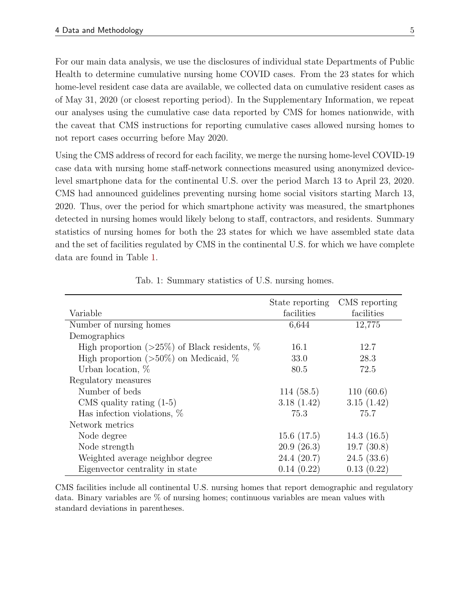For our main data analysis, we use the disclosures of individual state Departments of Public Health to determine cumulative nursing home COVID cases. From the 23 states for which home-level resident case data are available, we collected data on cumulative resident cases as of May 31, 2020 (or closest reporting period). In the Supplementary Information, we repeat our analyses using the cumulative case data reported by CMS for homes nationwide, with the caveat that CMS instructions for reporting cumulative cases allowed nursing homes to not report cases occurring before May 2020.

Using the CMS address of record for each facility, we merge the nursing home-level COVID-19 case data with nursing home staff-network connections measured using anonymized devicelevel smartphone data for the continental U.S. over the period March 13 to April 23, 2020. CMS had announced guidelines preventing nursing home social visitors starting March 13, 2020. Thus, over the period for which smartphone activity was measured, the smartphones detected in nursing homes would likely belong to staff, contractors, and residents. Summary statistics of nursing homes for both the 23 states for which we have assembled state data and the set of facilities regulated by CMS in the continental U.S. for which we have complete data are found in Table [1.](#page-5-0)

<span id="page-5-0"></span>

|                                                      | State reporting | CMS reporting |
|------------------------------------------------------|-----------------|---------------|
| Variable                                             | facilities      | facilities    |
| Number of nursing homes                              | 6,644           | 12,775        |
| Demographics                                         |                 |               |
| High proportion ( $>25\%$ ) of Black residents, $\%$ | 16.1            | 12.7          |
| High proportion $(>50\%)$ on Medicaid, $\%$          | 33.0            | 28.3          |
| Urban location, $%$                                  | 80.5            | 72.5          |
| Regulatory measures                                  |                 |               |
| Number of beds                                       | 114(58.5)       | 110(60.6)     |
| CMS quality rating $(1-5)$                           | 3.18(1.42)      | 3.15(1.42)    |
| Has infection violations, $\%$                       | 75.3            | 75.7          |
| Network metrics                                      |                 |               |
| Node degree                                          | 15.6(17.5)      | 14.3(16.5)    |
| Node strength                                        | 20.9(26.3)      | 19.7(30.8)    |
| Weighted average neighbor degree                     | 24.4(20.7)      | 24.5(33.6)    |
| Eigenvector centrality in state                      | 0.14(0.22)      | 0.13(0.22)    |

Tab. 1: Summary statistics of U.S. nursing homes.

CMS facilities include all continental U.S. nursing homes that report demographic and regulatory data. Binary variables are % of nursing homes; continuous variables are mean values with standard deviations in parentheses.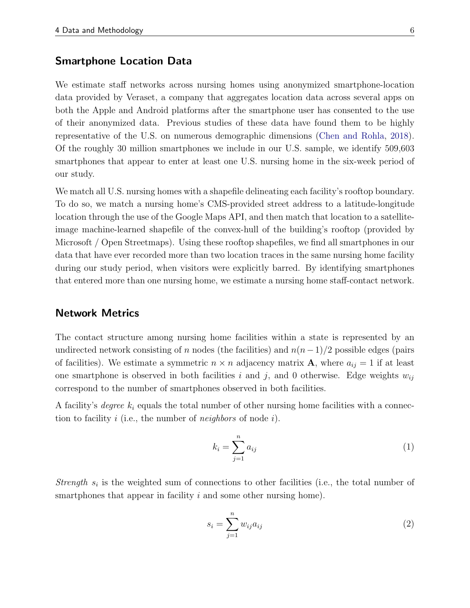## Smartphone Location Data

We estimate staff networks across nursing homes using anonymized smartphone-location data provided by Veraset, a company that aggregates location data across several apps on both the Apple and Android platforms after the smartphone user has consented to the use of their anonymized data. Previous studies of these data have found them to be highly representative of the U.S. on numerous demographic dimensions [\(Chen and Rohla,](#page-14-8) [2018\)](#page-14-8). Of the roughly 30 million smartphones we include in our U.S. sample, we identify 509,603 smartphones that appear to enter at least one U.S. nursing home in the six-week period of our study.

We match all U.S. nursing homes with a shapefile delineating each facility's rooftop boundary. To do so, we match a nursing home's CMS-provided street address to a latitude-longitude location through the use of the Google Maps API, and then match that location to a satelliteimage machine-learned shapefile of the convex-hull of the building's rooftop (provided by Microsoft / Open Streetmaps). Using these rooftop shapefiles, we find all smartphones in our data that have ever recorded more than two location traces in the same nursing home facility during our study period, when visitors were explicitly barred. By identifying smartphones that entered more than one nursing home, we estimate a nursing home staff-contact network.

### Network Metrics

The contact structure among nursing home facilities within a state is represented by an undirected network consisting of n nodes (the facilities) and  $n(n-1)/2$  possible edges (pairs of facilities). We estimate a symmetric  $n \times n$  adjacency matrix **A**, where  $a_{ij} = 1$  if at least one smartphone is observed in both facilities i and j, and 0 otherwise. Edge weights  $w_{ij}$ correspond to the number of smartphones observed in both facilities.

A facility's *degree*  $k_i$  equals the total number of other nursing home facilities with a connection to facility i (i.e., the number of *neighbors* of node i).

$$
k_i = \sum_{j=1}^n a_{ij} \tag{1}
$$

Strength  $s_i$  is the weighted sum of connections to other facilities (i.e., the total number of smartphones that appear in facility  $i$  and some other nursing home).

$$
s_i = \sum_{j=1}^{n} w_{ij} a_{ij} \tag{2}
$$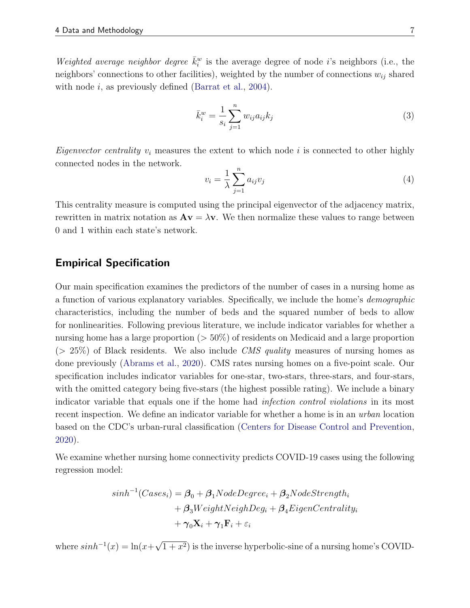Weighted average neighbor degree  $\bar{k}_i^w$  is the average degree of node *i*'s neighbors (i.e., the neighbors' connections to other facilities), weighted by the number of connections  $w_{ij}$  shared with node  $i$ , as previously defined [\(Barrat et al.,](#page-14-9) [2004\)](#page-14-9).

$$
\bar{k}_i^w = \frac{1}{s_i} \sum_{j=1}^n w_{ij} a_{ij} k_j
$$
\n(3)

*Eigenvector centrality*  $v_i$  measures the extent to which node i is connected to other highly connected nodes in the network.

$$
v_i = \frac{1}{\lambda} \sum_{j=1}^n a_{ij} v_j \tag{4}
$$

This centrality measure is computed using the principal eigenvector of the adjacency matrix, rewritten in matrix notation as  $A\mathbf{v} = \lambda \mathbf{v}$ . We then normalize these values to range between 0 and 1 within each state's network.

## Empirical Specification

Our main specification examines the predictors of the number of cases in a nursing home as a function of various explanatory variables. Specifically, we include the home's demographic characteristics, including the number of beds and the squared number of beds to allow for nonlinearities. Following previous literature, we include indicator variables for whether a nursing home has a large proportion (> 50%) of residents on Medicaid and a large proportion  $(> 25\%)$  of Black residents. We also include *CMS quality* measures of nursing homes as done previously [\(Abrams et al.,](#page-14-5) [2020\)](#page-14-5). CMS rates nursing homes on a five-point scale. Our specification includes indicator variables for one-star, two-stars, three-stars, and four-stars, with the omitted category being five-stars (the highest possible rating). We include a binary indicator variable that equals one if the home had infection control violations in its most recent inspection. We define an indicator variable for whether a home is in an *urban* location based on the CDC's urban-rural classification [\(Centers for Disease Control and Prevention,](#page-14-10) [2020\)](#page-14-10).

We examine whether nursing home connectivity predicts COVID-19 cases using the following regression model:

$$
sinh^{-1}(Cases_i) = \beta_0 + \beta_1NodeDegree_i + \beta_2NodeStreamgth_i
$$
  
+  $\beta_3WeightNeighDeg_i + \beta_4EigenCentrality_i$   
+  $\gamma_0 \mathbf{X}_i + \gamma_1 \mathbf{F}_i + \varepsilon_i$ 

where  $sinh^{-1}(x) = \ln(x +$ √  $(1+x^2)$  is the inverse hyperbolic-sine of a nursing home's COVID-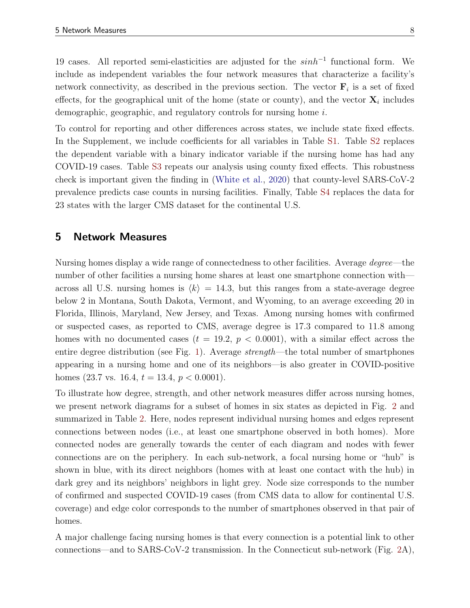19 cases. All reported semi-elasticities are adjusted for the  $sinh^{-1}$  functional form. We include as independent variables the four network measures that characterize a facility's network connectivity, as described in the previous section. The vector  $\mathbf{F}_i$  is a set of fixed effects, for the geographical unit of the home (state or county), and the vector  $\mathbf{X}_i$  includes demographic, geographic, and regulatory controls for nursing home i.

To control for reporting and other differences across states, we include state fixed effects. In the Supplement, we include coefficients for all variables in Table [S1.](#page-18-0) Table [S2](#page-19-0) replaces the dependent variable with a binary indicator variable if the nursing home has had any COVID-19 cases. Table [S3](#page-20-0) repeats our analysis using county fixed effects. This robustness check is important given the finding in [\(White et al.,](#page-16-1) [2020\)](#page-16-1) that county-level SARS-CoV-2 prevalence predicts case counts in nursing facilities. Finally, Table [S4](#page-21-0) replaces the data for 23 states with the larger CMS dataset for the continental U.S.

## 5 Network Measures

Nursing homes display a wide range of connectedness to other facilities. Average degree—the number of other facilities a nursing home shares at least one smartphone connection with across all U.S. nursing homes is  $\langle k \rangle = 14.3$ , but this ranges from a state-average degree below 2 in Montana, South Dakota, Vermont, and Wyoming, to an average exceeding 20 in Florida, Illinois, Maryland, New Jersey, and Texas. Among nursing homes with confirmed or suspected cases, as reported to CMS, average degree is 17.3 compared to 11.8 among homes with no documented cases ( $t = 19.2, p < 0.0001$ ), with a similar effect across the entire degree distribution (see Fig. [1\)](#page-9-0). Average strength—the total number of smartphones appearing in a nursing home and one of its neighbors—is also greater in COVID-positive homes (23.7 vs. 16.4,  $t = 13.4$ ,  $p < 0.0001$ ).

To illustrate how degree, strength, and other network measures differ across nursing homes, we present network diagrams for a subset of homes in six states as depicted in Fig. [2](#page-10-0) and summarized in Table [2.](#page-11-0) Here, nodes represent individual nursing homes and edges represent connections between nodes (i.e., at least one smartphone observed in both homes). More connected nodes are generally towards the center of each diagram and nodes with fewer connections are on the periphery. In each sub-network, a focal nursing home or "hub" is shown in blue, with its direct neighbors (homes with at least one contact with the hub) in dark grey and its neighbors' neighbors in light grey. Node size corresponds to the number of confirmed and suspected COVID-19 cases (from CMS data to allow for continental U.S. coverage) and edge color corresponds to the number of smartphones observed in that pair of homes.

A major challenge facing nursing homes is that every connection is a potential link to other connections—and to SARS-CoV-2 transmission. In the Connecticut sub-network (Fig. [2A](#page-10-0)),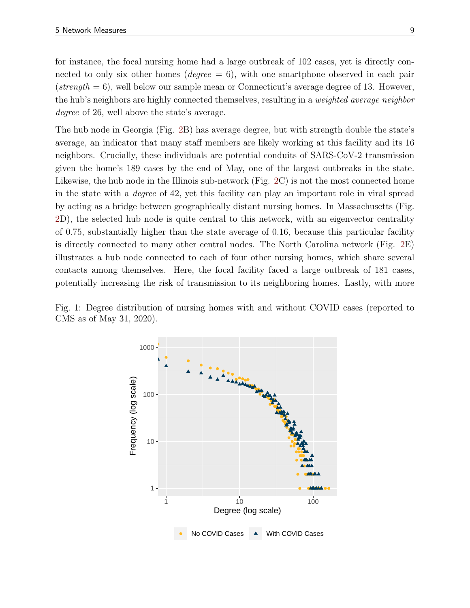for instance, the focal nursing home had a large outbreak of 102 cases, yet is directly connected to only six other homes ( $degree = 6$ ), with one smartphone observed in each pair (strength  $= 6$ ), well below our sample mean or Connecticut's average degree of 13. However, the hub's neighbors are highly connected themselves, resulting in a weighted average neighbor degree of 26, well above the state's average.

The hub node in Georgia (Fig. [2B](#page-10-0)) has average degree, but with strength double the state's average, an indicator that many staff members are likely working at this facility and its 16 neighbors. Crucially, these individuals are potential conduits of SARS-CoV-2 transmission given the home's 189 cases by the end of May, one of the largest outbreaks in the state. Likewise, the hub node in the Illinois sub-network (Fig. [2C](#page-10-0)) is not the most connected home in the state with a degree of 42, yet this facility can play an important role in viral spread by acting as a bridge between geographically distant nursing homes. In Massachusetts (Fig. [2D](#page-10-0)), the selected hub node is quite central to this network, with an eigenvector centrality of 0.75, substantially higher than the state average of 0.16, because this particular facility is directly connected to many other central nodes. The North Carolina network (Fig. [2E](#page-10-0)) illustrates a hub node connected to each of four other nursing homes, which share several contacts among themselves. Here, the focal facility faced a large outbreak of 181 cases, potentially increasing the risk of transmission to its neighboring homes. Lastly, with more

<span id="page-9-0"></span>Fig. 1: Degree distribution of nursing homes with and without COVID cases (reported to CMS as of May 31, 2020).

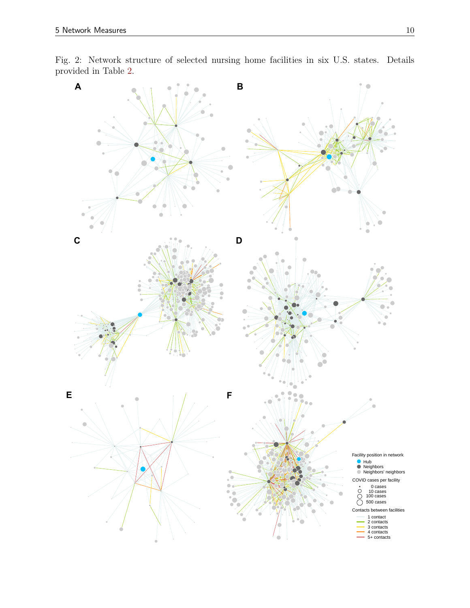<span id="page-10-0"></span>

Fig. 2: Network structure of selected nursing home facilities in six U.S. states. Details provided in Table [2.](#page-11-0)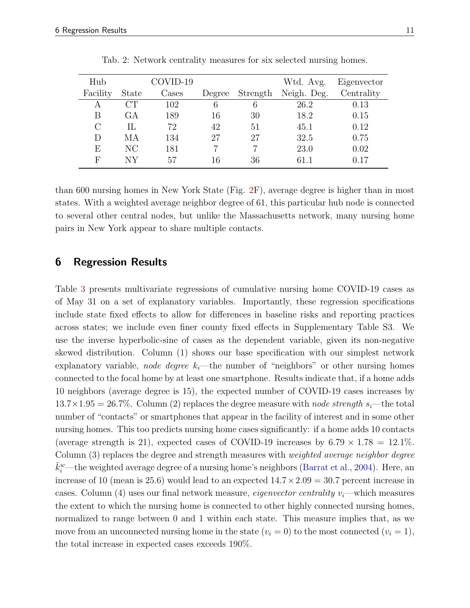<span id="page-11-0"></span>

| Hub          |              | COVID-19 |        |          | Wtd. Avg.   | Eigenvector |
|--------------|--------------|----------|--------|----------|-------------|-------------|
| Facility     | <b>State</b> | Cases    | Degree | Strength | Neigh. Deg. | Centrality  |
| А            | CT           | 102      | 6      | 6        | 26.2        | 0.13        |
| В            | GА           | 189      | 16     | 30       | 18.2        | 0.15        |
| $\rm C$      | IL           | 72       | 42     | 51       | 45.1        | 0.12        |
| D            | МA           | 134      | 27     | 27       | 32.5        | 0.75        |
| E            | NC           | 181      |        |          | 23.0        | 0.02        |
| $\mathbf{F}$ | NV           | 57       | 16     | 36       | 61.1        | 0.17        |

Tab. 2: Network centrality measures for six selected nursing homes.

than 600 nursing homes in New York State (Fig. [2F](#page-10-0)), average degree is higher than in most states. With a weighted average neighbor degree of 61, this particular hub node is connected to several other central nodes, but unlike the Massachusetts network, many nursing home pairs in New York appear to share multiple contacts.

## 6 Regression Results

Table [3](#page-12-0) presents multivariate regressions of cumulative nursing home COVID-19 cases as of May 31 on a set of explanatory variables. Importantly, these regression specifications include state fixed effects to allow for differences in baseline risks and reporting practices across states; we include even finer county fixed effects in Supplementary Table S3. We use the inverse hyperbolic-sine of cases as the dependent variable, given its non-negative skewed distribution. Column (1) shows our base specification with our simplest network explanatory variable, node degree  $k_i$ —the number of "neighbors" or other nursing homes connected to the focal home by at least one smartphone. Results indicate that, if a home adds 10 neighbors (average degree is 15), the expected number of COVID-19 cases increases by  $13.7 \times 1.95 = 26.7\%$ . Column (2) replaces the degree measure with node strength s<sub>i</sub>—the total number of "contacts" or smartphones that appear in the facility of interest and in some other nursing homes. This too predicts nursing home cases significantly: if a home adds 10 contacts (average strength is 21), expected cases of COVID-19 increases by  $6.79 \times 1.78 = 12.1\%$ . Column (3) replaces the degree and strength measures with *weighted average neighbor degree*  $\bar{k}_i^w$ —the weighted average degree of a nursing home's neighbors [\(Barrat et al.,](#page-14-9) [2004\)](#page-14-9). Here, an increase of 10 (mean is 25.6) would lead to an expected  $14.7 \times 2.09 = 30.7$  percent increase in cases. Column (4) uses our final network measure, *eigenvector centrality*  $v_i$ —which measures the extent to which the nursing home is connected to other highly connected nursing homes, normalized to range between 0 and 1 within each state. This measure implies that, as we move from an unconnected nursing home in the state  $(v_i = 0)$  to the most connected  $(v_i = 1)$ , the total increase in expected cases exceeds 190%.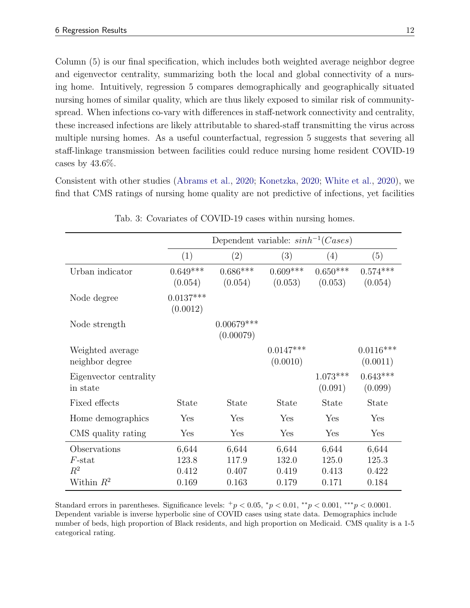Column (5) is our final specification, which includes both weighted average neighbor degree and eigenvector centrality, summarizing both the local and global connectivity of a nursing home. Intuitively, regression 5 compares demographically and geographically situated nursing homes of similar quality, which are thus likely exposed to similar risk of communityspread. When infections co-vary with differences in staff-network connectivity and centrality, these increased infections are likely attributable to shared-staff transmitting the virus across multiple nursing homes. As a useful counterfactual, regression 5 suggests that severing all staff-linkage transmission between facilities could reduce nursing home resident COVID-19 cases by  $43.6\%$ .

Consistent with other studies [\(Abrams et al.,](#page-14-5) [2020;](#page-14-5) [Konetzka,](#page-15-3) [2020;](#page-15-3) [White et al.,](#page-16-1) [2020\)](#page-16-1), we find that CMS ratings of nursing home quality are not predictive of infections, yet facilities

<span id="page-12-0"></span>

|                                     |                         | Dependent variable: $sinh^{-1}(Cases)$ |                         |                         |                         |
|-------------------------------------|-------------------------|----------------------------------------|-------------------------|-------------------------|-------------------------|
|                                     | (1)                     | (2)                                    | (3)                     | (4)                     | (5)                     |
| Urban indicator                     | $0.649***$<br>(0.054)   | $0.686***$<br>(0.054)                  | $0.609***$<br>(0.053)   | $0.650***$<br>(0.053)   | $0.574***$<br>(0.054)   |
| Node degree                         | $0.0137***$<br>(0.0012) |                                        |                         |                         |                         |
| Node strength                       |                         | $0.00679***$<br>(0.00079)              |                         |                         |                         |
| Weighted average<br>neighbor degree |                         |                                        | $0.0147***$<br>(0.0010) |                         | $0.0116***$<br>(0.0011) |
| Eigenvector centrality<br>in state  |                         |                                        |                         | $1.073***$<br>(0.091)   | $0.643***$<br>(0.099)   |
| Fixed effects                       | State                   | <b>State</b>                           | <b>State</b>            | <b>State</b>            | <b>State</b>            |
| Home demographics                   | Yes                     | Yes                                    | Yes                     | Yes                     | Yes                     |
| CMS quality rating                  | Yes                     | Yes                                    | Yes                     | Yes                     | Yes                     |
| Observations<br>$F$ -stat<br>$R^2$  | 6,644<br>123.8<br>0.412 | 6,644<br>117.9<br>0.407                | 6,644<br>132.0<br>0.419 | 6,644<br>125.0<br>0.413 | 6,644<br>125.3<br>0.422 |
| Within $R^2$                        | 0.169                   | 0.163                                  | 0.179                   | 0.171                   | 0.184                   |

Tab. 3: Covariates of COVID-19 cases within nursing homes.

Standard errors in parentheses. Significance levels:  $+p < 0.05$ ,  $\gamma p < 0.01$ ,  $\gamma p < 0.001$ ,  $\gamma p < 0.0001$ . Dependent variable is inverse hyperbolic sine of COVID cases using state data. Demographics include number of beds, high proportion of Black residents, and high proportion on Medicaid. CMS quality is a 1-5 categorical rating.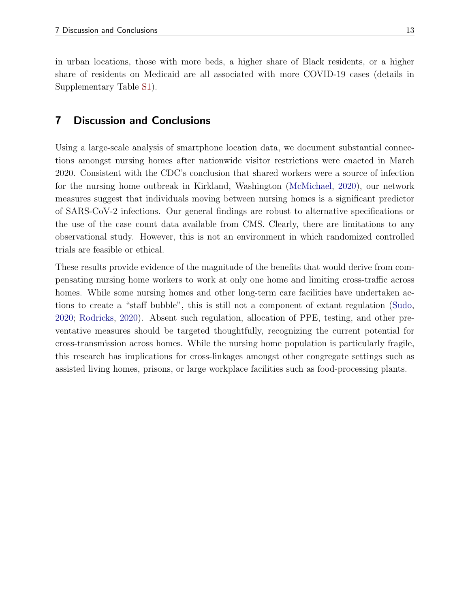in urban locations, those with more beds, a higher share of Black residents, or a higher share of residents on Medicaid are all associated with more COVID-19 cases (details in Supplementary Table [S1\)](#page-18-0).

# 7 Discussion and Conclusions

Using a large-scale analysis of smartphone location data, we document substantial connections amongst nursing homes after nationwide visitor restrictions were enacted in March 2020. Consistent with the CDC's conclusion that shared workers were a source of infection for the nursing home outbreak in Kirkland, Washington [\(McMichael,](#page-15-2) [2020\)](#page-15-2), our network measures suggest that individuals moving between nursing homes is a significant predictor of SARS-CoV-2 infections. Our general findings are robust to alternative specifications or the use of the case count data available from CMS. Clearly, there are limitations to any observational study. However, this is not an environment in which randomized controlled trials are feasible or ethical.

These results provide evidence of the magnitude of the benefits that would derive from compensating nursing home workers to work at only one home and limiting cross-traffic across homes. While some nursing homes and other long-term care facilities have undertaken actions to create a "staff bubble", this is still not a component of extant regulation [\(Sudo,](#page-16-7) [2020;](#page-16-7) [Rodricks,](#page-16-8) [2020\)](#page-16-8). Absent such regulation, allocation of PPE, testing, and other preventative measures should be targeted thoughtfully, recognizing the current potential for cross-transmission across homes. While the nursing home population is particularly fragile, this research has implications for cross-linkages amongst other congregate settings such as assisted living homes, prisons, or large workplace facilities such as food-processing plants.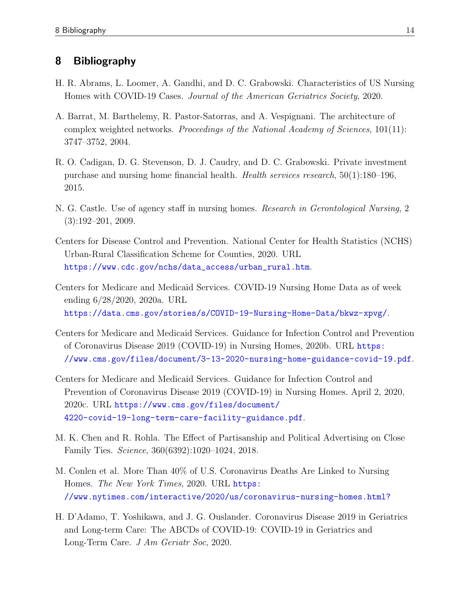## 8 Bibliography

- <span id="page-14-5"></span>H. R. Abrams, L. Loomer, A. Gandhi, and D. C. Grabowski. Characteristics of US Nursing Homes with COVID-19 Cases. Journal of the American Geriatrics Society, 2020.
- <span id="page-14-9"></span>A. Barrat, M. Barthelemy, R. Pastor-Satorras, and A. Vespignani. The architecture of complex weighted networks. Proceedings of the National Academy of Sciences, 101(11): 3747–3752, 2004.
- <span id="page-14-7"></span>R. O. Cadigan, D. G. Stevenson, D. J. Caudry, and D. C. Grabowski. Private investment purchase and nursing home financial health. Health services research, 50(1):180–196, 2015.
- <span id="page-14-6"></span>N. G. Castle. Use of agency staff in nursing homes. Research in Gerontological Nursing, 2 (3):192–201, 2009.
- <span id="page-14-10"></span>Centers for Disease Control and Prevention. National Center for Health Statistics (NCHS) Urban-Rural Classification Scheme for Counties, 2020. URL [https://www.cdc.gov/nchs/data\\_access/urban\\_rural.htm](https://www.cdc.gov/nchs/data_access/urban_rural.htm).
- <span id="page-14-1"></span>Centers for Medicare and Medicaid Services. COVID-19 Nursing Home Data as of week ending 6/28/2020, 2020a. URL <https://data.cms.gov/stories/s/COVID-19-Nursing-Home-Data/bkwz-xpvg/>.
- <span id="page-14-3"></span>Centers for Medicare and Medicaid Services. Guidance for Infection Control and Prevention of Coronavirus Disease 2019 (COVID-19) in Nursing Homes, 2020b. URL [https:](https://www.cms.gov/files/document/3-13-2020-nursing-home-guidance-covid-19.pdf) [//www.cms.gov/files/document/3-13-2020-nursing-home-guidance-covid-19.pdf](https://www.cms.gov/files/document/3-13-2020-nursing-home-guidance-covid-19.pdf).
- <span id="page-14-4"></span>Centers for Medicare and Medicaid Services. Guidance for Infection Control and Prevention of Coronavirus Disease 2019 (COVID-19) in Nursing Homes. April 2, 2020, 2020c. URL [https://www.cms.gov/files/document/](https://www.cms.gov/files/document/4220-covid-19-long-term-care-facility-guidance.pdf) [4220-covid-19-long-term-care-facility-guidance.pdf](https://www.cms.gov/files/document/4220-covid-19-long-term-care-facility-guidance.pdf).
- <span id="page-14-8"></span>M. K. Chen and R. Rohla. The Effect of Partisanship and Political Advertising on Close Family Ties. Science, 360(6392):1020–1024, 2018.
- <span id="page-14-0"></span>M. Conlen et al. More Than 40% of U.S. Coronavirus Deaths Are Linked to Nursing Homes. The New York Times, 2020. URL [https:](https://www.nytimes.com/interactive/2020/us/coronavirus-nursing-homes.html?) [//www.nytimes.com/interactive/2020/us/coronavirus-nursing-homes.html?](https://www.nytimes.com/interactive/2020/us/coronavirus-nursing-homes.html?)
- <span id="page-14-2"></span>H. D'Adamo, T. Yoshikawa, and J. G. Ouslander. Coronavirus Disease 2019 in Geriatrics and Long-term Care: The ABCDs of COVID-19: COVID-19 in Geriatrics and Long-Term Care. J Am Geriatr Soc, 2020.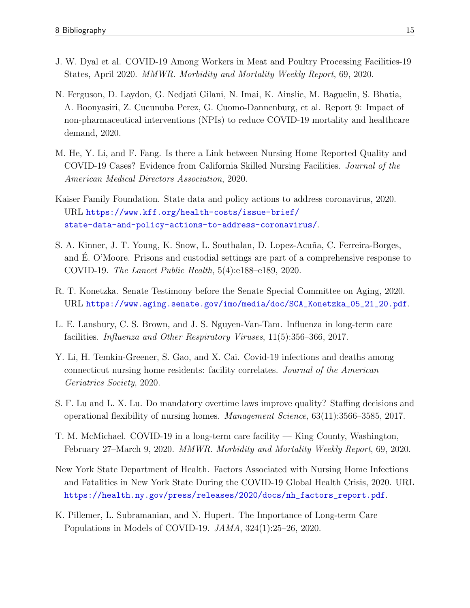- <span id="page-15-8"></span>J. W. Dyal et al. COVID-19 Among Workers in Meat and Poultry Processing Facilities-19 States, April 2020. MMWR. Morbidity and Mortality Weekly Report, 69, 2020.
- <span id="page-15-5"></span>N. Ferguson, D. Laydon, G. Nedjati Gilani, N. Imai, K. Ainslie, M. Baguelin, S. Bhatia, A. Boonyasiri, Z. Cucunuba Perez, G. Cuomo-Dannenburg, et al. Report 9: Impact of non-pharmaceutical interventions (NPIs) to reduce COVID-19 mortality and healthcare demand, 2020.
- <span id="page-15-6"></span>M. He, Y. Li, and F. Fang. Is there a Link between Nursing Home Reported Quality and COVID-19 Cases? Evidence from California Skilled Nursing Facilities. Journal of the American Medical Directors Association, 2020.
- <span id="page-15-0"></span>Kaiser Family Foundation. State data and policy actions to address coronavirus, 2020. URL [https://www.kff.org/health-costs/issue-brief/](https://www.kff.org/health-costs/issue-brief/state-data-and-policy-actions-to-address-coronavirus/) [state-data-and-policy-actions-to-address-coronavirus/](https://www.kff.org/health-costs/issue-brief/state-data-and-policy-actions-to-address-coronavirus/).
- <span id="page-15-9"></span>S. A. Kinner, J. T. Young, K. Snow, L. Southalan, D. Lopez-Acuña, C. Ferreira-Borges, and E. O'Moore. Prisons and custodial settings are part of a comprehensive response to ´ COVID-19. The Lancet Public Health, 5(4):e188–e189, 2020.
- <span id="page-15-3"></span>R. T. Konetzka. Senate Testimony before the Senate Special Committee on Aging, 2020. URL [https://www.aging.senate.gov/imo/media/doc/SCA\\_Konetzka\\_05\\_21\\_20.pdf](https://www.aging.senate.gov/imo/media/doc/SCA_Konetzka_05_21_20.pdf).
- <span id="page-15-1"></span>L. E. Lansbury, C. S. Brown, and J. S. Nguyen-Van-Tam. Influenza in long-term care facilities. Influenza and Other Respiratory Viruses, 11(5):356–366, 2017.
- <span id="page-15-7"></span>Y. Li, H. Temkin-Greener, S. Gao, and X. Cai. Covid-19 infections and deaths among connecticut nursing home residents: facility correlates. Journal of the American Geriatrics Society, 2020.
- <span id="page-15-11"></span>S. F. Lu and L. X. Lu. Do mandatory overtime laws improve quality? Staffing decisions and operational flexibility of nursing homes. Management Science, 63(11):3566–3585, 2017.
- <span id="page-15-2"></span>T. M. McMichael. COVID-19 in a long-term care facility — King County, Washington, February 27–March 9, 2020. MMWR. Morbidity and Mortality Weekly Report, 69, 2020.
- <span id="page-15-10"></span>New York State Department of Health. Factors Associated with Nursing Home Infections and Fatalities in New York State During the COVID-19 Global Health Crisis, 2020. URL [https://health.ny.gov/press/releases/2020/docs/nh\\_factors\\_report.pdf](https://health.ny.gov/press/releases/2020/docs/nh_factors_report.pdf).
- <span id="page-15-4"></span>K. Pillemer, L. Subramanian, and N. Hupert. The Importance of Long-term Care Populations in Models of COVID-19. JAMA, 324(1):25–26, 2020.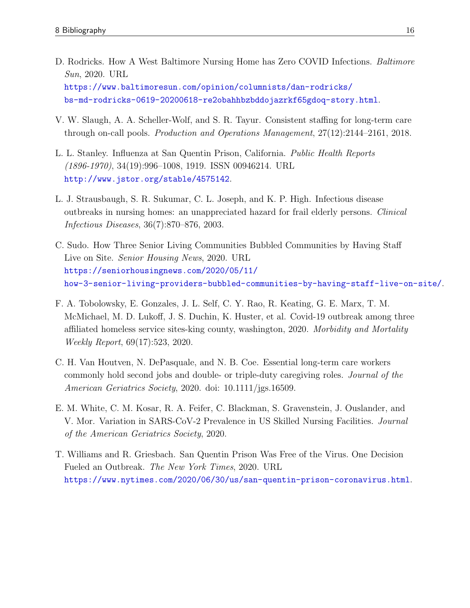- <span id="page-16-8"></span>D. Rodricks. How A West Baltimore Nursing Home has Zero COVID Infections. *Baltimore* Sun, 2020. URL [https://www.baltimoresun.com/opinion/columnists/dan-rodricks/](https://www.baltimoresun.com/opinion/columnists/dan-rodricks/bs-md-rodricks-0619-20200618-re2obahhbzbddojazrkf65gdoq-story.html) [bs-md-rodricks-0619-20200618-re2obahhbzbddojazrkf65gdoq-story.html](https://www.baltimoresun.com/opinion/columnists/dan-rodricks/bs-md-rodricks-0619-20200618-re2obahhbzbddojazrkf65gdoq-story.html).
- <span id="page-16-5"></span>V. W. Slaugh, A. A. Scheller-Wolf, and S. R. Tayur. Consistent staffing for long-term care through on-call pools. Production and Operations Management, 27(12):2144–2161, 2018.
- <span id="page-16-4"></span>L. L. Stanley. Influenza at San Quentin Prison, California. Public Health Reports (1896-1970), 34(19):996–1008, 1919. ISSN 00946214. URL <http://www.jstor.org/stable/4575142>.
- <span id="page-16-0"></span>L. J. Strausbaugh, S. R. Sukumar, C. L. Joseph, and K. P. High. Infectious disease outbreaks in nursing homes: an unappreciated hazard for frail elderly persons. Clinical Infectious Diseases, 36(7):870–876, 2003.
- <span id="page-16-7"></span>C. Sudo. How Three Senior Living Communities Bubbled Communities by Having Staff Live on Site. *Senior Housing News*, 2020. URL [https://seniorhousingnews.com/2020/05/11/](https://seniorhousingnews.com/2020/05/11/how-3-senior-living-providers-bubbled-communities-by-having-staff-live-on-site/) [how-3-senior-living-providers-bubbled-communities-by-having-staff-live-on-site/](https://seniorhousingnews.com/2020/05/11/how-3-senior-living-providers-bubbled-communities-by-having-staff-live-on-site/).
- <span id="page-16-2"></span>F. A. Tobolowsky, E. Gonzales, J. L. Self, C. Y. Rao, R. Keating, G. E. Marx, T. M. McMichael, M. D. Lukoff, J. S. Duchin, K. Huster, et al. Covid-19 outbreak among three affiliated homeless service sites-king county, washington, 2020. Morbidity and Mortality Weekly Report, 69(17):523, 2020.
- <span id="page-16-6"></span>C. H. Van Houtven, N. DePasquale, and N. B. Coe. Essential long-term care workers commonly hold second jobs and double- or triple-duty caregiving roles. Journal of the American Geriatrics Society, 2020. doi: 10.1111/jgs.16509.
- <span id="page-16-1"></span>E. M. White, C. M. Kosar, R. A. Feifer, C. Blackman, S. Gravenstein, J. Ouslander, and V. Mor. Variation in SARS-CoV-2 Prevalence in US Skilled Nursing Facilities. Journal of the American Geriatrics Society, 2020.
- <span id="page-16-3"></span>T. Williams and R. Griesbach. San Quentin Prison Was Free of the Virus. One Decision Fueled an Outbreak. The New York Times, 2020. URL <https://www.nytimes.com/2020/06/30/us/san-quentin-prison-coronavirus.html>.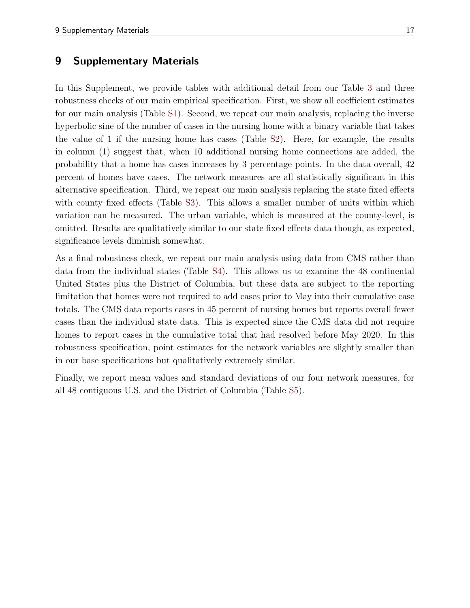## 9 Supplementary Materials

In this Supplement, we provide tables with additional detail from our Table [3](#page-12-0) and three robustness checks of our main empirical specification. First, we show all coefficient estimates for our main analysis (Table [S1\)](#page-18-0). Second, we repeat our main analysis, replacing the inverse hyperbolic sine of the number of cases in the nursing home with a binary variable that takes the value of 1 if the nursing home has cases (Table [S2\)](#page-19-0). Here, for example, the results in column (1) suggest that, when 10 additional nursing home connections are added, the probability that a home has cases increases by 3 percentage points. In the data overall, 42 percent of homes have cases. The network measures are all statistically significant in this alternative specification. Third, we repeat our main analysis replacing the state fixed effects with county fixed effects (Table [S3\)](#page-20-0). This allows a smaller number of units within which variation can be measured. The urban variable, which is measured at the county-level, is omitted. Results are qualitatively similar to our state fixed effects data though, as expected, significance levels diminish somewhat.

As a final robustness check, we repeat our main analysis using data from CMS rather than data from the individual states (Table [S4\)](#page-21-0). This allows us to examine the 48 continental United States plus the District of Columbia, but these data are subject to the reporting limitation that homes were not required to add cases prior to May into their cumulative case totals. The CMS data reports cases in 45 percent of nursing homes but reports overall fewer cases than the individual state data. This is expected since the CMS data did not require homes to report cases in the cumulative total that had resolved before May 2020. In this robustness specification, point estimates for the network variables are slightly smaller than in our base specifications but qualitatively extremely similar.

Finally, we report mean values and standard deviations of our four network measures, for all 48 contiguous U.S. and the District of Columbia (Table [S5\)](#page-22-0).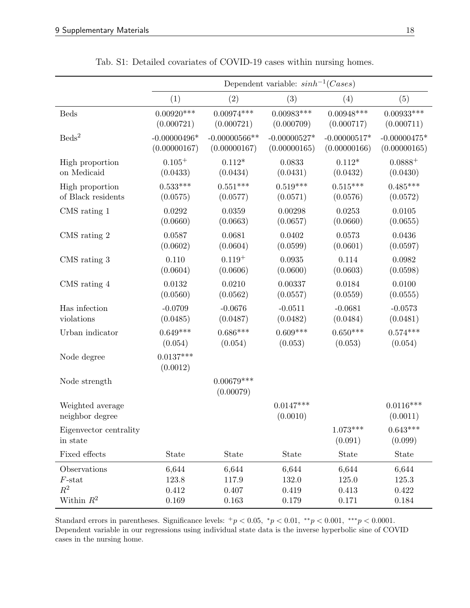<span id="page-18-0"></span>

|                                     |                         | Dependent variable: $sinh^{-1}(Cases)$ |                         |                       |                         |  |
|-------------------------------------|-------------------------|----------------------------------------|-------------------------|-----------------------|-------------------------|--|
|                                     | (1)                     | (2)                                    | (3)                     | (4)                   | (5)                     |  |
| <b>Beds</b>                         | $0.00920***$            | $0.00974***$                           | $0.00983***$            | $0.00948***$          | $0.00933***$            |  |
|                                     | (0.000721)              | (0.000721)                             | (0.000709)              | (0.000717)            | (0.000711)              |  |
| $\text{Beds}^2$                     | $-0.00000496*$          | $-0.00000566**$                        | $-0.00000527*$          | $-0.00000517*$        | $-0.00000475*$          |  |
|                                     | (0.00000167)            | (0.00000167)                           | (0.00000165)            | (0.00000166)          | (0.00000165)            |  |
| High proportion                     | $0.105+$                | $0.112*$                               | 0.0833                  | $0.112*$              | $0.0888^{+}$            |  |
| on Medicaid                         | (0.0433)                | (0.0434)                               | (0.0431)                | (0.0432)              | (0.0430)                |  |
| High proportion                     | $0.533***$              | $0.551***$                             | $0.519***$              | $0.515***$            | $0.485***$              |  |
| of Black residents                  | (0.0575)                | (0.0577)                               | (0.0571)                | (0.0576)              | (0.0572)                |  |
| CMS rating 1                        | 0.0292                  | 0.0359                                 | 0.00298                 | 0.0253                | 0.0105                  |  |
|                                     | (0.0660)                | (0.0663)                               | (0.0657)                | (0.0660)              | (0.0655)                |  |
| CMS rating 2                        | 0.0587                  | 0.0681                                 | 0.0402                  | 0.0573                | 0.0436                  |  |
|                                     | (0.0602)                | (0.0604)                               | (0.0599)                | (0.0601)              | (0.0597)                |  |
| CMS rating 3                        | 0.110                   | $0.119^{+}$                            | 0.0935                  | 0.114                 | 0.0982                  |  |
|                                     | (0.0604)                | (0.0606)                               | (0.0600)                | (0.0603)              | (0.0598)                |  |
| CMS rating 4                        | 0.0132                  | 0.0210                                 | 0.00337                 | 0.0184                | 0.0100                  |  |
|                                     | (0.0560)                | (0.0562)                               | (0.0557)                | (0.0559)              | (0.0555)                |  |
| Has infection                       | $-0.0709$               | $-0.0676$                              | $-0.0511$               | $-0.0681$             | $-0.0573$               |  |
| violations                          | (0.0485)                | (0.0487)                               | (0.0482)                | (0.0484)              | (0.0481)                |  |
| Urban indicator                     | $0.649***$              | $0.686***$                             | $0.609***$              | $0.650***$            | $0.574***$              |  |
|                                     | (0.054)                 | (0.054)                                | (0.053)                 | (0.053)               | (0.054)                 |  |
| Node degree                         | $0.0137***$<br>(0.0012) |                                        |                         |                       |                         |  |
| Node strength                       |                         | $0.00679***$<br>(0.00079)              |                         |                       |                         |  |
| Weighted average<br>neighbor degree |                         |                                        | $0.0147***$<br>(0.0010) |                       | $0.0116***$<br>(0.0011) |  |
| Eigenvector centrality<br>in state  |                         |                                        |                         | $1.073***$<br>(0.091) | $0.643***$<br>(0.099)   |  |
| Fixed effects                       | State                   | State                                  | State                   | State                 | State                   |  |
| Observations                        | 6,644                   | 6,644                                  | 6,644                   | 6,644                 | 6,644                   |  |
| $F\text{-stat}$                     | 123.8                   | 117.9                                  | 132.0                   | 125.0                 | 125.3                   |  |
| $\mathbb{R}^2$                      | 0.412                   | 0.407                                  | 0.419                   | $\,0.413\,$           | 0.422                   |  |
| Within $R^2$                        | 0.169                   | 0.163                                  | 0.179                   | 0.171                 | 0.184                   |  |

Tab. S1: Detailed covariates of COVID-19 cases within nursing homes.

Standard errors in parentheses. Significance levels:  $^+p < 0.05$ ,  $^*p < 0.01$ ,  $^{**}p < 0.001$ ,  $^{***}p < 0.0001$ . Dependent variable in our regressions using individual state data is the inverse hyperbolic sine of COVID cases in the nursing home.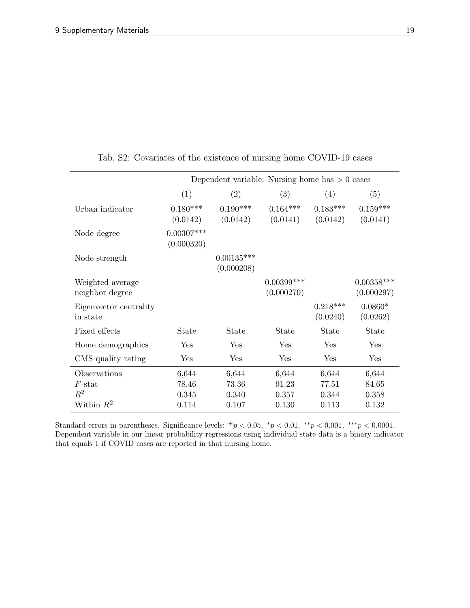<span id="page-19-0"></span>

|                                             |                            | Dependent variable: Nursing home has $> 0$ cases |                             |                         |                            |
|---------------------------------------------|----------------------------|--------------------------------------------------|-----------------------------|-------------------------|----------------------------|
|                                             | (1)                        | (2)                                              | (3)                         | (4)                     | (5)                        |
| Urban indicator                             | $0.180***$<br>(0.0142)     | $0.190***$<br>(0.0142)                           | $0.164***$<br>(0.0141)      | $0.183***$<br>(0.0142)  | $0.159***$<br>(0.0141)     |
| Node degree                                 | $0.00307***$<br>(0.000320) |                                                  |                             |                         |                            |
| Node strength                               |                            | $0.00135***$<br>(0.000208)                       |                             |                         |                            |
| Weighted average<br>neighbor degree         |                            |                                                  | $0.00399$ ***<br>(0.000270) |                         | $0.00358***$<br>(0.000297) |
| Eigenvector centrality<br>in state          |                            |                                                  |                             | $0.218***$<br>(0.0240)  | $0.0860*$<br>(0.0262)      |
| Fixed effects                               | State                      | State                                            | State                       | State                   | State                      |
| Home demographics                           | Yes                        | Yes                                              | Yes                         | Yes                     | Yes                        |
| CMS quality rating                          | Yes                        | Yes                                              | Yes                         | Yes                     | Yes                        |
| Observations<br>$F$ -stat<br>$\mathbb{R}^2$ | 6,644<br>78.46<br>0.345    | 6,644<br>73.36<br>0.340                          | 6,644<br>91.23<br>0.357     | 6,644<br>77.51<br>0.344 | 6,644<br>84.65<br>0.358    |
| Within $R^2$                                | 0.114                      | 0.107                                            | 0.130                       | 0.113                   | 0.132                      |

Tab. S2: Covariates of the existence of nursing home COVID-19 cases

Standard errors in parentheses. Significance levels:  $^+p < 0.05$ ,  $^*p < 0.01$ ,  $^{**}p < 0.001$ ,  $^{***}p < 0.0001$ . Dependent variable in our linear probability regressions using individual state data is a binary indicator that equals 1 if COVID cases are reported in that nursing home.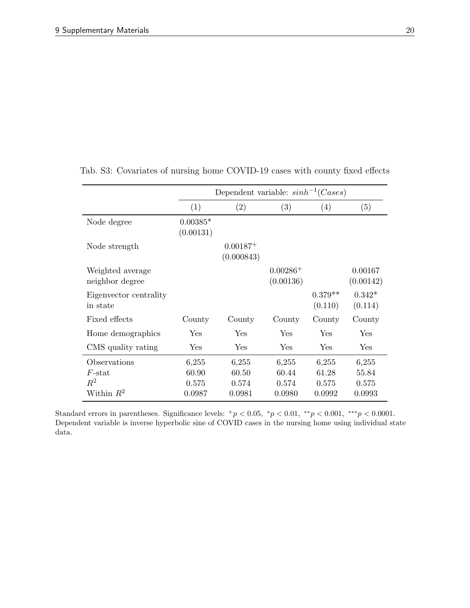|                                     |                         | Dependent variable: $sinh^{-1}(Case s)$ |                         |                      |                      |
|-------------------------------------|-------------------------|-----------------------------------------|-------------------------|----------------------|----------------------|
|                                     | (1)                     | (2)                                     | (3)                     | (4)                  | (5)                  |
| Node degree                         | $0.00385*$<br>(0.00131) |                                         |                         |                      |                      |
| Node strength                       |                         | $0.00187+$<br>(0.000843)                |                         |                      |                      |
| Weighted average<br>neighbor degree |                         |                                         | $0.00286+$<br>(0.00136) |                      | 0.00167<br>(0.00142) |
| Eigenvector centrality<br>in state  |                         |                                         |                         | $0.379**$<br>(0.110) | $0.342*$<br>(0.114)  |
| Fixed effects                       | County                  | County                                  | County                  | County               | County               |
| Home demographics                   | $\operatorname{Yes}$    | Yes                                     | Yes                     | Yes                  | Yes                  |
| CMS quality rating                  | Yes                     | Yes                                     | Yes                     | Yes                  | Yes                  |
| Observations<br>$F$ -stat           | 6,255<br>60.90          | 6,255<br>60.50                          | 6,255<br>60.44          | 6,255<br>61.28       | 6,255<br>55.84       |
| $R^2$<br>Within $R^2$               | 0.575<br>0.0987         | 0.574<br>0.0981                         | 0.574<br>0.0980         | 0.575<br>0.0992      | 0.575<br>0.0993      |

<span id="page-20-0"></span>Tab. S3: Covariates of nursing home COVID-19 cases with county fixed effects

Standard errors in parentheses. Significance levels:  $^+p < 0.05$ ,  $^*p < 0.01$ ,  $^{**}p < 0.001$ ,  $^{***}p < 0.0001$ . Dependent variable is inverse hyperbolic sine of COVID cases in the nursing home using individual state data.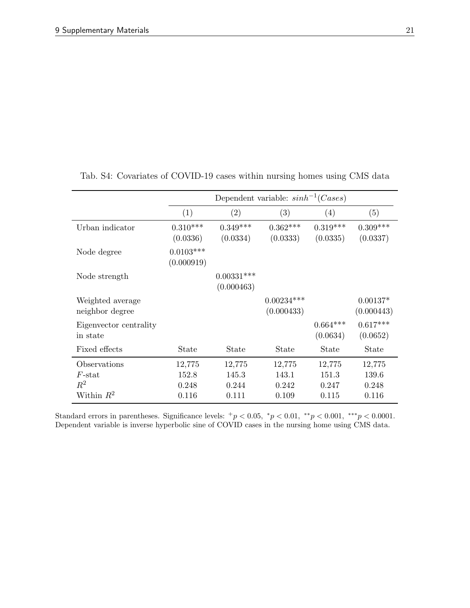|                                     |                           |                            | Dependent variable: $sinh^{-1}(Cases)$ |                          |                          |
|-------------------------------------|---------------------------|----------------------------|----------------------------------------|--------------------------|--------------------------|
|                                     | (1)                       | (2)                        | (3)                                    | (4)                      | (5)                      |
| Urban indicator                     | $0.310***$<br>(0.0336)    | $0.349***$<br>(0.0334)     | $0.362***$<br>(0.0333)                 | $0.319***$<br>(0.0335)   | $0.309***$<br>(0.0337)   |
| Node degree                         | $0.0103***$<br>(0.000919) |                            |                                        |                          |                          |
| Node strength                       |                           | $0.00331***$<br>(0.000463) |                                        |                          |                          |
| Weighted average<br>neighbor degree |                           |                            | $0.00234***$<br>(0.000433)             |                          | $0.00137*$<br>(0.000443) |
| Eigenvector centrality<br>in state  |                           |                            |                                        | $0.664***$<br>(0.0634)   | $0.617***$<br>(0.0652)   |
| Fixed effects                       | State                     | State                      | State                                  | <b>State</b>             | <b>State</b>             |
| Observations<br>$F$ -stat<br>$R^2$  | 12,775<br>152.8<br>0.248  | 12,775<br>145.3<br>0.244   | 12,775<br>143.1<br>0.242               | 12,775<br>151.3<br>0.247 | 12,775<br>139.6<br>0.248 |
| Within $R^2$                        | 0.116                     | 0.111                      | 0.109                                  | 0.115                    | 0.116                    |

<span id="page-21-0"></span>Tab. S4: Covariates of COVID-19 cases within nursing homes using CMS data

Standard errors in parentheses. Significance levels:  $^+p < 0.05$ ,  $^*p < 0.01$ ,  $^{**}p < 0.001$ ,  $^{***}p < 0.0001$ . Dependent variable is inverse hyperbolic sine of COVID cases in the nursing home using CMS data.